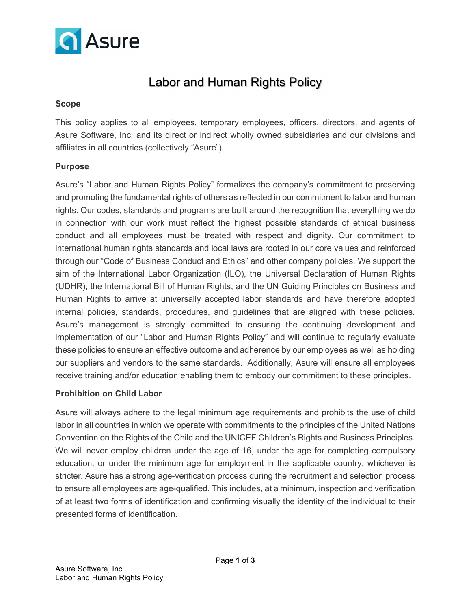

# Labor and Human Rights Policy

### Scope

This policy applies to all employees, temporary employees, officers, directors, and agents of Asure Software, Inc. and its direct or indirect wholly owned subsidiaries and our divisions and affiliates in all countries (collectively "Asure").

### **Purpose**

Asure's "Labor and Human Rights Policy" formalizes the company's commitment to preserving and promoting the fundamental rights of others as reflected in our commitment to labor and human rights. Our codes, standards and programs are built around the recognition that everything we do in connection with our work must reflect the highest possible standards of ethical business conduct and all employees must be treated with respect and dignity. Our commitment to international human rights standards and local laws are rooted in our core values and reinforced through our "Code of Business Conduct and Ethics" and other company policies. We support the aim of the International Labor Organization (ILO), the Universal Declaration of Human Rights (UDHR), the International Bill of Human Rights, and the UN Guiding Principles on Business and Human Rights to arrive at universally accepted labor standards and have therefore adopted internal policies, standards, procedures, and guidelines that are aligned with these policies. Asure's management is strongly committed to ensuring the continuing development and implementation of our "Labor and Human Rights Policy" and will continue to regularly evaluate these policies to ensure an effective outcome and adherence by our employees as well as holding our suppliers and vendors to the same standards. Additionally, Asure will ensure all employees receive training and/or education enabling them to embody our commitment to these principles.

### Prohibition on Child Labor

Asure will always adhere to the legal minimum age requirements and prohibits the use of child labor in all countries in which we operate with commitments to the principles of the United Nations Convention on the Rights of the Child and the UNICEF Children's Rights and Business Principles. We will never employ children under the age of 16, under the age for completing compulsory education, or under the minimum age for employment in the applicable country, whichever is stricter. Asure has a strong age-verification process during the recruitment and selection process to ensure all employees are age-qualified. This includes, at a minimum, inspection and verification of at least two forms of identification and confirming visually the identity of the individual to their presented forms of identification.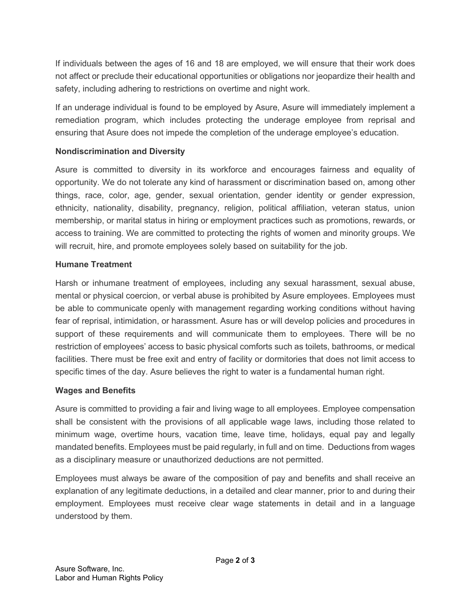If individuals between the ages of 16 and 18 are employed, we will ensure that their work does not affect or preclude their educational opportunities or obligations nor jeopardize their health and safety, including adhering to restrictions on overtime and night work.

If an underage individual is found to be employed by Asure, Asure will immediately implement a remediation program, which includes protecting the underage employee from reprisal and ensuring that Asure does not impede the completion of the underage employee's education.

## Nondiscrimination and Diversity

Asure is committed to diversity in its workforce and encourages fairness and equality of opportunity. We do not tolerate any kind of harassment or discrimination based on, among other things, race, color, age, gender, sexual orientation, gender identity or gender expression, ethnicity, nationality, disability, pregnancy, religion, political affiliation, veteran status, union membership, or marital status in hiring or employment practices such as promotions, rewards, or access to training. We are committed to protecting the rights of women and minority groups. We will recruit, hire, and promote employees solely based on suitability for the job.

## Humane Treatment

Harsh or inhumane treatment of employees, including any sexual harassment, sexual abuse, mental or physical coercion, or verbal abuse is prohibited by Asure employees. Employees must be able to communicate openly with management regarding working conditions without having fear of reprisal, intimidation, or harassment. Asure has or will develop policies and procedures in support of these requirements and will communicate them to employees. There will be no restriction of employees' access to basic physical comforts such as toilets, bathrooms, or medical facilities. There must be free exit and entry of facility or dormitories that does not limit access to specific times of the day. Asure believes the right to water is a fundamental human right.

### Wages and Benefits

Asure is committed to providing a fair and living wage to all employees. Employee compensation shall be consistent with the provisions of all applicable wage laws, including those related to minimum wage, overtime hours, vacation time, leave time, holidays, equal pay and legally mandated benefits. Employees must be paid regularly, in full and on time. Deductions from wages as a disciplinary measure or unauthorized deductions are not permitted.

Employees must always be aware of the composition of pay and benefits and shall receive an explanation of any legitimate deductions, in a detailed and clear manner, prior to and during their employment. Employees must receive clear wage statements in detail and in a language understood by them.